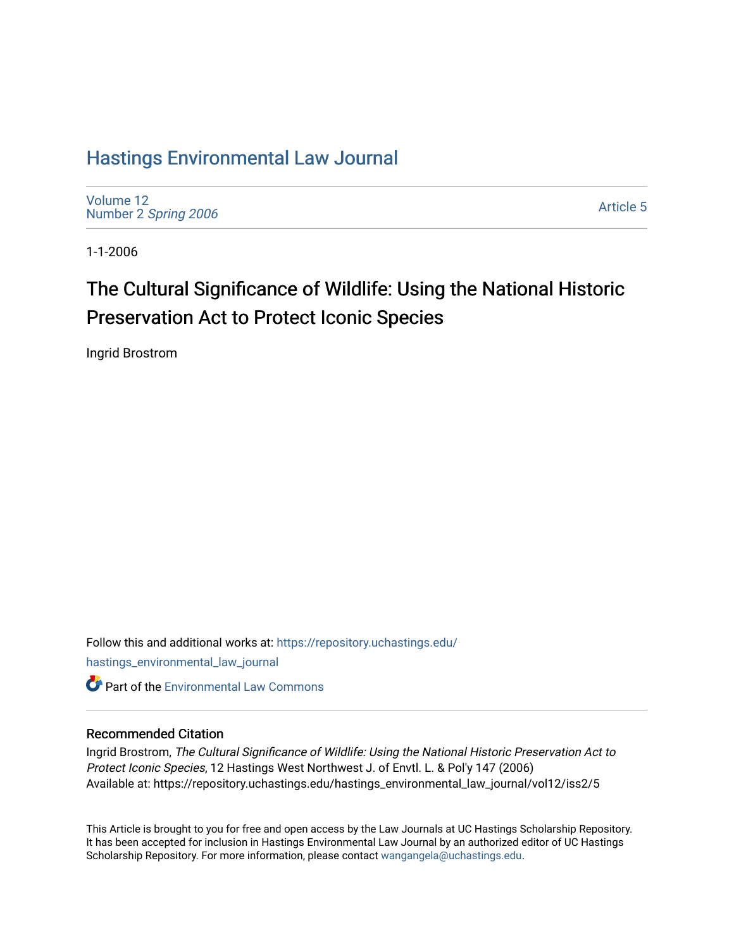## [Hastings Environmental Law Journal](https://repository.uchastings.edu/hastings_environmental_law_journal)

[Volume 12](https://repository.uchastings.edu/hastings_environmental_law_journal/vol12) Number 2 [Spring 2006](https://repository.uchastings.edu/hastings_environmental_law_journal/vol12/iss2) 

[Article 5](https://repository.uchastings.edu/hastings_environmental_law_journal/vol12/iss2/5) 

1-1-2006

# The Cultural Significance of Wildlife: Using the National Historic Preservation Act to Protect Iconic Species

Ingrid Brostrom

Follow this and additional works at: [https://repository.uchastings.edu/](https://repository.uchastings.edu/hastings_environmental_law_journal?utm_source=repository.uchastings.edu%2Fhastings_environmental_law_journal%2Fvol12%2Fiss2%2F5&utm_medium=PDF&utm_campaign=PDFCoverPages) [hastings\\_environmental\\_law\\_journal](https://repository.uchastings.edu/hastings_environmental_law_journal?utm_source=repository.uchastings.edu%2Fhastings_environmental_law_journal%2Fvol12%2Fiss2%2F5&utm_medium=PDF&utm_campaign=PDFCoverPages)  **C** Part of the [Environmental Law Commons](http://network.bepress.com/hgg/discipline/599?utm_source=repository.uchastings.edu%2Fhastings_environmental_law_journal%2Fvol12%2Fiss2%2F5&utm_medium=PDF&utm_campaign=PDFCoverPages)

#### Recommended Citation

Ingrid Brostrom, The Cultural Significance of Wildlife: Using the National Historic Preservation Act to Protect Iconic Species, 12 Hastings West Northwest J. of Envtl. L. & Pol'y 147 (2006) Available at: https://repository.uchastings.edu/hastings\_environmental\_law\_journal/vol12/iss2/5

This Article is brought to you for free and open access by the Law Journals at UC Hastings Scholarship Repository. It has been accepted for inclusion in Hastings Environmental Law Journal by an authorized editor of UC Hastings Scholarship Repository. For more information, please contact [wangangela@uchastings.edu.](mailto:wangangela@uchastings.edu)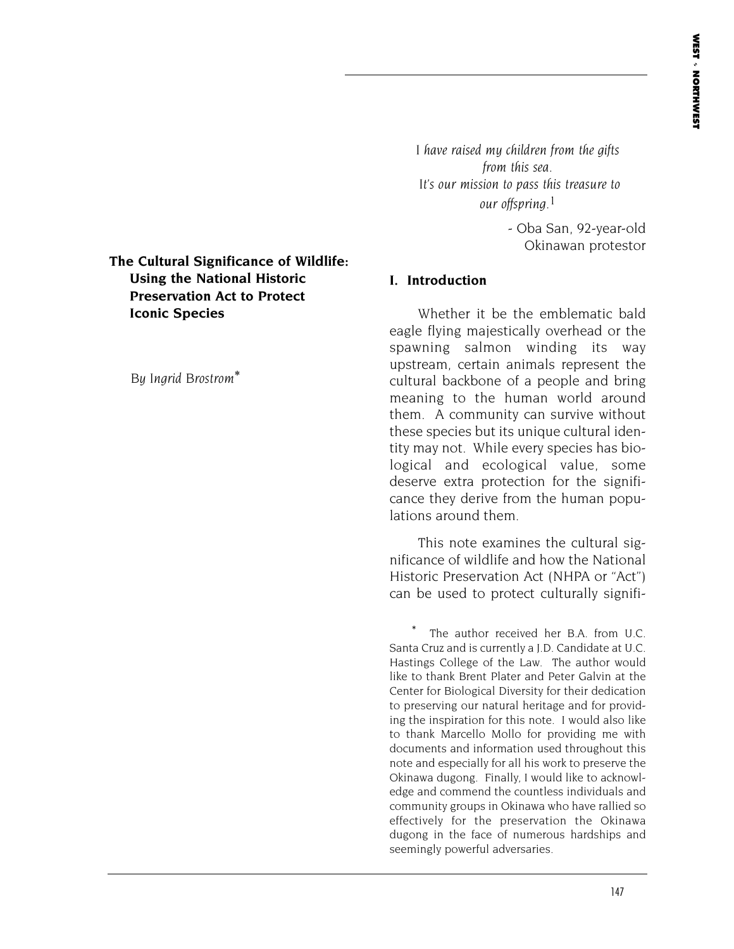**The Cultural Significance of Wildlife: Using the National Historic Preservation Act to Protect Iconic Species**

*By Ingrid Brostrom*\*

*I have raised my children from the gifts from this sea. It's our mission to pass this treasure to our offspring.*1

> - Oba San, 92-year-old Okinawan protestor

#### **I. Introduction**

Whether it be the emblematic bald eagle flying majestically overhead or the spawning salmon winding its way upstream, certain animals represent the cultural backbone of a people and bring meaning to the human world around them. A community can survive without these species but its unique cultural identity may not. While every species has biological and ecological value, some deserve extra protection for the significance they derive from the human populations around them.

This note examines the cultural significance of wildlife and how the National Historic Preservation Act (NHPA or "Act") can be used to protect culturally signifi-

The author received her B.A. from U.C. Santa Cruz and is currently a J.D. Candidate at U.C. Hastings College of the Law. The author would like to thank Brent Plater and Peter Galvin at the Center for Biological Diversity for their dedication to preserving our natural heritage and for providing the inspiration for this note. I would also like to thank Marcello Mollo for providing me with documents and information used throughout this note and especially for all his work to preserve the Okinawa dugong. Finally, I would like to acknowledge and commend the countless individuals and community groups in Okinawa who have rallied so effectively for the preservation the Okinawa dugong in the face of numerous hardships and seemingly powerful adversaries.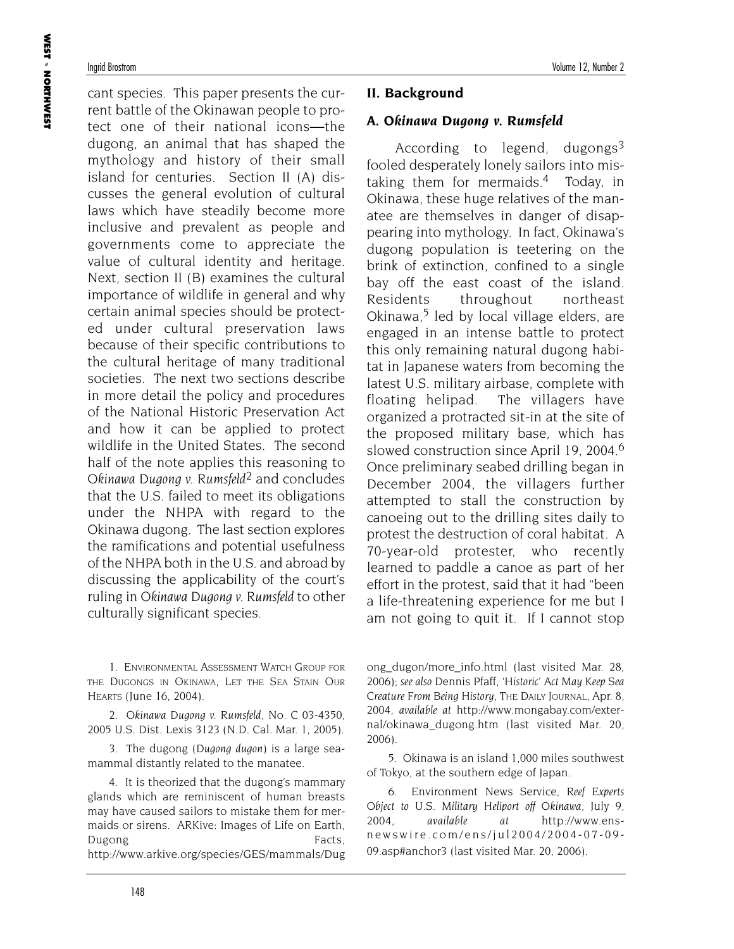cant species. This paper presents the current battle of the Okinawan people to protect one of their national icons—the dugong, an animal that has shaped the mythology and history of their small island for centuries. Section II (A) discusses the general evolution of cultural laws which have steadily become more inclusive and prevalent as people and governments come to appreciate the value of cultural identity and heritage. Next, section II (B) examines the cultural importance of wildlife in general and why certain animal species should be protected under cultural preservation laws because of their specific contributions to the cultural heritage of many traditional societies. The next two sections describe in more detail the policy and procedures of the National Historic Preservation Act and how it can be applied to protect wildlife in the United States. The second half of the note applies this reasoning to *Okinawa Dugong v. Rumsfeld2* and concludes that the U.S. failed to meet its obligations under the NHPA with regard to the Okinawa dugong. The last section explores the ramifications and potential usefulness of the NHPA both in the U.S. and abroad by discussing the applicability of the court's ruling in *Okinawa Dugong v. Rumsfeld* to other culturally significant species.

1. ENVIRONMENTAL ASSESSMENT WATCH GROUP FOR THE DUGONGS IN OKINAWA, LET THE SEA STAIN OUR HEARTS (June 16, 2004).

2. *Okinawa Dugong v. Rumsfeld*, No. C 03-4350, 2005 U.S. Dist. Lexis 3123 (N.D. Cal. Mar. 1, 2005).

3. The dugong (*Dugong dugon*) is a large seamammal distantly related to the manatee.

4. It is theorized that the dugong's mammary glands which are reminiscent of human breasts may have caused sailors to mistake them for mermaids or sirens. ARKive: Images of Life on Earth, Dugong Facts, http://www.arkive.org/species/GES/mammals/Dug

#### **II. Background**

#### **A.** *Okinawa Dugong v. Rumsfeld*

According to legend, dugongs $3$ fooled desperately lonely sailors into mistaking them for mermaids.4 Today, in Okinawa, these huge relatives of the manatee are themselves in danger of disappearing into mythology. In fact, Okinawa's dugong population is teetering on the brink of extinction, confined to a single bay off the east coast of the island. Residents throughout northeast Okinawa,<sup>5</sup> led by local village elders, are engaged in an intense battle to protect this only remaining natural dugong habitat in Japanese waters from becoming the latest U.S. military airbase, complete with floating helipad. The villagers have organized a protracted sit-in at the site of the proposed military base, which has slowed construction since April 19, 2004.<sup>6</sup> Once preliminary seabed drilling began in December 2004, the villagers further attempted to stall the construction by canoeing out to the drilling sites daily to protest the destruction of coral habitat. A 70-year-old protester, who recently learned to paddle a canoe as part of her effort in the protest, said that it had "been a life-threatening experience for me but I am not going to quit it. If I cannot stop

ong\_dugon/more\_info.html (last visited Mar. 28, 2006); *see also* Dennis Pfaff, *'Historic' Act May Keep Sea Creature From Being History*, THE DAILY JOURNAL, Apr. 8, 2004, *available at* http://www.mongabay.com/external/okinawa\_dugong.htm (last visited Mar. 20, 2006).

5. Okinawa is an island 1,000 miles southwest of Tokyo, at the southern edge of Japan.

6. Environment News Service, *Reef Experts Object to U.S. Military Heliport off Okinawa*, July 9, 2004, *available at* http://www.ensnewswire.com/ens/jul2004/2004-07-09- 09.asp#anchor3 (last visited Mar. 20, 2006).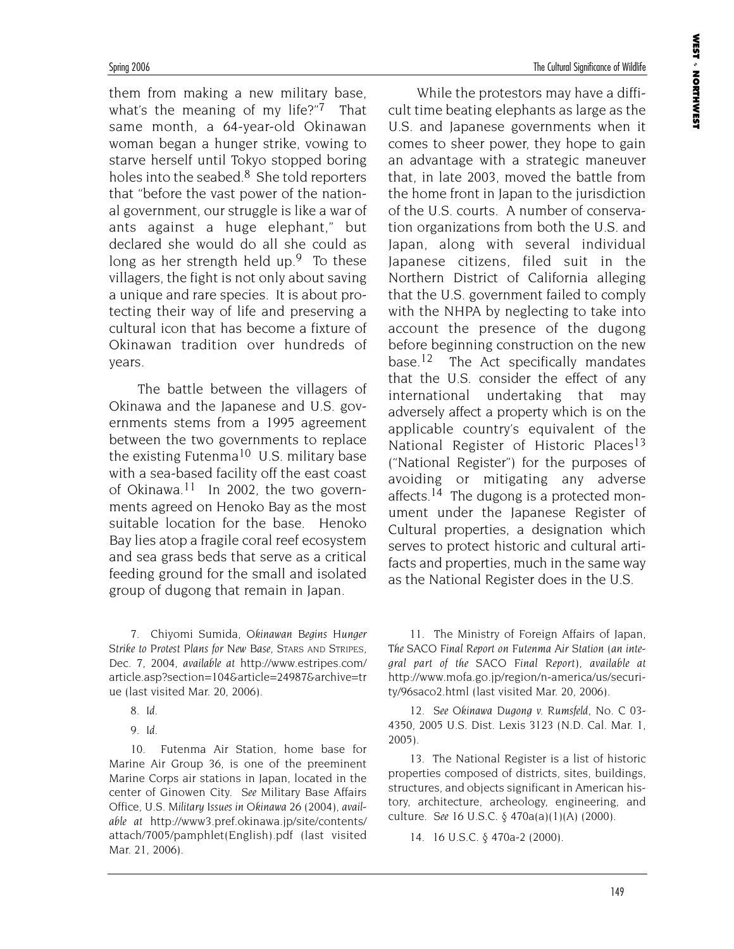them from making a new military base, what's the meaning of my life?"<sup>7</sup> That same month, a 64-year-old Okinawan woman began a hunger strike, vowing to starve herself until Tokyo stopped boring holes into the seabed. $8$  She told reporters that "before the vast power of the national government, our struggle is like a war of ants against a huge elephant," but declared she would do all she could as long as her strength held up.<sup>9</sup> To these villagers, the fight is not only about saving a unique and rare species. It is about protecting their way of life and preserving a cultural icon that has become a fixture of Okinawan tradition over hundreds of years.

The battle between the villagers of Okinawa and the Japanese and U.S. governments stems from a 1995 agreement between the two governments to replace the existing Futenma<sup>10</sup> U.S. military base with a sea-based facility off the east coast of Okinawa.<sup>11</sup> In 2002, the two governments agreed on Henoko Bay as the most suitable location for the base. Henoko Bay lies atop a fragile coral reef ecosystem and sea grass beds that serve as a critical feeding ground for the small and isolated group of dugong that remain in Japan.

7. Chiyomi Sumida, *Okinawan Begins Hunger Strike to Protest Plans for New Base*, STARS AND STRIPES, Dec. 7, 2004, *available at* http://www.estripes.com/ article.asp?section=104&article=24987&archive=tr ue (last visited Mar. 20, 2006).

- 8. *Id.*
- 9. *Id.*

10. Futenma Air Station, home base for Marine Air Group 36, is one of the preeminent Marine Corps air stations in Japan, located in the center of Ginowen City. *See* Military Base Affairs Office, *U.S. Military Issues in Okinawa* 26 (2004), *available at* http://www3.pref.okinawa.jp/site/contents/ attach/7005/pamphlet(English).pdf (last visited Mar. 21, 2006).

While the protestors may have a difficult time beating elephants as large as the U.S. and Japanese governments when it comes to sheer power, they hope to gain an advantage with a strategic maneuver that, in late 2003, moved the battle from the home front in Japan to the jurisdiction of the U.S. courts. A number of conservation organizations from both the U.S. and Japan, along with several individual Japanese citizens, filed suit in the Northern District of California alleging that the U.S. government failed to comply with the NHPA by neglecting to take into account the presence of the dugong before beginning construction on the new base.<sup>12</sup> The Act specifically mandates that the U.S. consider the effect of any international undertaking that may adversely affect a property which is on the applicable country's equivalent of the National Register of Historic Places<sup>13</sup> ("National Register") for the purposes of avoiding or mitigating any adverse affects.<sup>14</sup> The dugong is a protected monument under the Japanese Register of Cultural properties, a designation which serves to protect historic and cultural artifacts and properties, much in the same way as the National Register does in the U.S.

11. The Ministry of Foreign Affairs of Japan, *The SACO Final Report on Futenma Air Station (an integral part of the SACO Final Report)*, *available at* http://www.mofa.go.jp/region/n-america/us/security/96saco2.html (last visited Mar. 20, 2006).

12. *See Okinawa Dugong v. Rumsfeld*, No. C 03- 4350, 2005 U.S. Dist. Lexis 3123 (N.D. Cal. Mar. 1, 2005).

13. The National Register is a list of historic properties composed of districts, sites, buildings, structures, and objects significant in American history, architecture, archeology, engineering, and culture. *See* 16 U.S.C. § 470a(a)(1)(A) (2000).

14. 16 U.S.C. § 470a-2 (2000).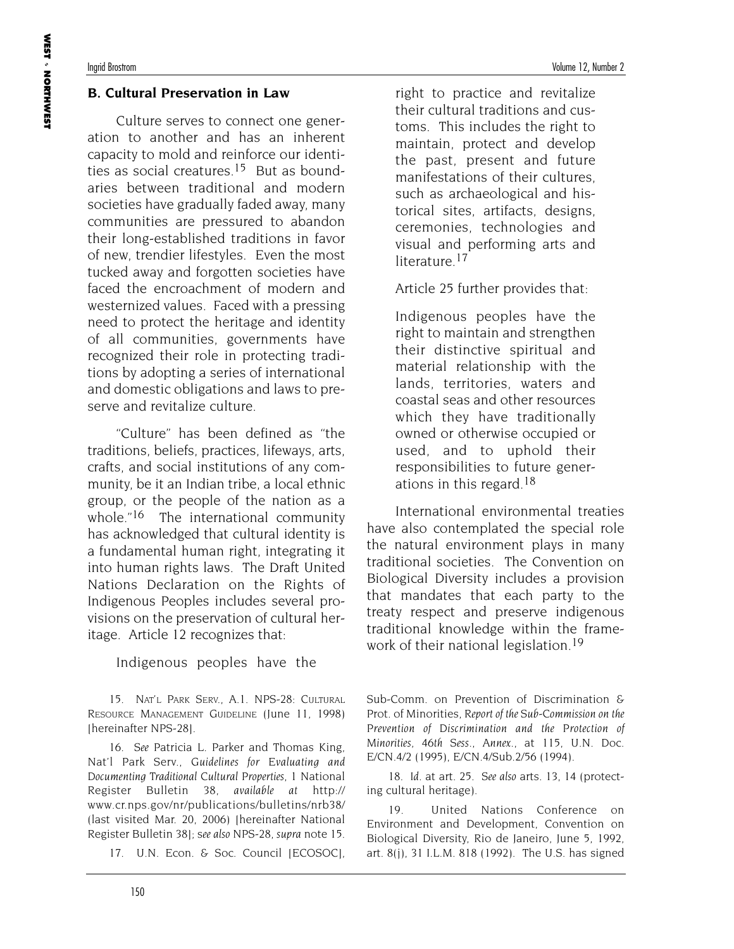#### **B. Cultural Preservation in Law**

Culture serves to connect one generation to another and has an inherent capacity to mold and reinforce our identities as social creatures.<sup>15</sup> But as boundaries between traditional and modern societies have gradually faded away, many communities are pressured to abandon their long-established traditions in favor of new, trendier lifestyles. Even the most tucked away and forgotten societies have faced the encroachment of modern and westernized values. Faced with a pressing need to protect the heritage and identity of all communities, governments have recognized their role in protecting traditions by adopting a series of international and domestic obligations and laws to preserve and revitalize culture.

"Culture" has been defined as "the traditions, beliefs, practices, lifeways, arts, crafts, and social institutions of any community, be it an Indian tribe, a local ethnic group, or the people of the nation as a whole."<sup>16</sup> The international community has acknowledged that cultural identity is a fundamental human right, integrating it into human rights laws. The Draft United Nations Declaration on the Rights of Indigenous Peoples includes several provisions on the preservation of cultural heritage. Article 12 recognizes that:

Indigenous peoples have the

15. NAT'L PARK SERV., A.1. NPS-28: CULTURAL RESOURCE MANAGEMENT GUIDELINE (June 11, 1998) [hereinafter NPS-28].

16. *See* Patricia L. Parker and Thomas King, Nat'l Park Serv., *Guidelines for Evaluating and Documenting Traditional Cultural Properties*, 1 National Register Bulletin 38, *available at* http:// www.cr.nps.gov/nr/publications/bulletins/nrb38/ (last visited Mar. 20, 2006) [hereinafter National Register Bulletin 38]; s*ee also* NPS-28, *supra* note 15.

17. U.N. Econ. & Soc. Council [ECOSOC],

right to practice and revitalize their cultural traditions and customs. This includes the right to maintain, protect and develop the past, present and future manifestations of their cultures, such as archaeological and historical sites, artifacts, designs, ceremonies, technologies and visual and performing arts and literature.<sup>17</sup>

Article 25 further provides that:

Indigenous peoples have the right to maintain and strengthen their distinctive spiritual and material relationship with the lands, territories, waters and coastal seas and other resources which they have traditionally owned or otherwise occupied or used, and to uphold their responsibilities to future generations in this regard.18

International environmental treaties have also contemplated the special role the natural environment plays in many traditional societies. The Convention on Biological Diversity includes a provision that mandates that each party to the treaty respect and preserve indigenous traditional knowledge within the framework of their national legislation.<sup>19</sup>

Sub-Comm. on Prevention of Discrimination & Prot. of Minorities, *Report of the Sub-Commission on the Prevention of Discrimination and the Protection of Minorities, 46th Sess., Annex.*, at 115, U.N. Doc. E/CN.4/2 (1995), E/CN.4/Sub.2/56 (1994).

18. *Id.* at art. 25. *See also* arts. 13, 14 (protecting cultural heritage).

19. United Nations Conference on Environment and Development, Convention on Biological Diversity, Rio de Janeiro, June 5, 1992, art. 8(j), 31 I.L.M. 818 (1992). The U.S. has signed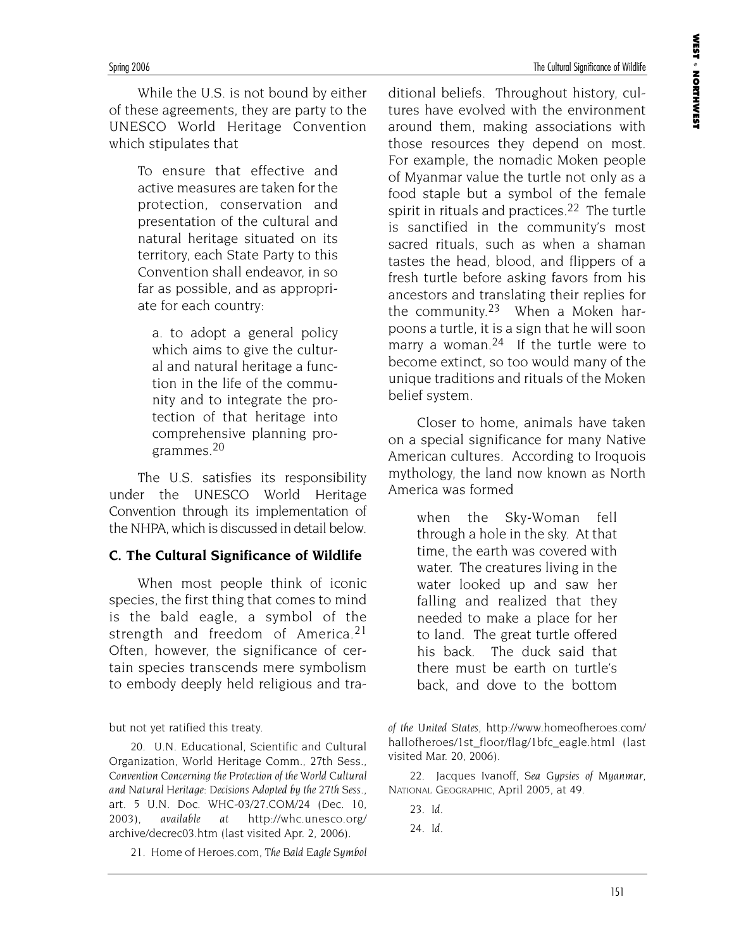While the U.S. is not bound by either of these agreements, they are party to the UNESCO World Heritage Convention which stipulates that

> To ensure that effective and active measures are taken for the protection, conservation and presentation of the cultural and natural heritage situated on its territory, each State Party to this Convention shall endeavor, in so far as possible, and as appropriate for each country:

a. to adopt a general policy which aims to give the cultural and natural heritage a function in the life of the community and to integrate the protection of that heritage into comprehensive planning programmes.20

The U.S. satisfies its responsibility under the UNESCO World Heritage Convention through its implementation of the NHPA, which is discussed in detail below.

#### **C. The Cultural Significance of Wildlife**

When most people think of iconic species, the first thing that comes to mind is the bald eagle, a symbol of the strength and freedom of America.<sup>21</sup> Often, however, the significance of certain species transcends mere symbolism to embody deeply held religious and tra-

but not yet ratified this treaty.

20. U.N. Educational, Scientific and Cultural Organization, World Heritage Comm., 27th Sess., *Convention Concerning the Protection of the World Cultural and Natural Heritage: Decisions Adopted by the 27th Sess.*, art. 5 U.N. Doc. WHC-03/27.COM/24 (Dec. 10, 2003), *available at* http://whc.unesco.org/ archive/decrec03.htm (last visited Apr. 2, 2006).

21. Home of Heroes.com, *The Bald Eagle Symbol*

ditional beliefs. Throughout history, cultures have evolved with the environment around them, making associations with those resources they depend on most. For example, the nomadic Moken people of Myanmar value the turtle not only as a food staple but a symbol of the female spirit in rituals and practices.<sup>22</sup> The turtle is sanctified in the community's most sacred rituals, such as when a shaman tastes the head, blood, and flippers of a fresh turtle before asking favors from his ancestors and translating their replies for the community.23 When a Moken harpoons a turtle, it is a sign that he will soon marry a woman.<sup>24</sup> If the turtle were to become extinct, so too would many of the unique traditions and rituals of the Moken belief system.

Closer to home, animals have taken on a special significance for many Native American cultures. According to Iroquois mythology, the land now known as North America was formed

> when the Sky-Woman fell through a hole in the sky. At that time, the earth was covered with water. The creatures living in the water looked up and saw her falling and realized that they needed to make a place for her to land. The great turtle offered his back. The duck said that there must be earth on turtle's back, and dove to the bottom

22. Jacques Ivanoff, *Sea Gypsies of Myanmar*, NATIONAL GEOGRAPHIC, April 2005, at 49.

23. *Id.*

24. *Id.*

*of the United States*, http://www.homeofheroes.com/ hallofheroes/1st\_floor/flag/1bfc\_eagle.html (last visited Mar. 20, 2006).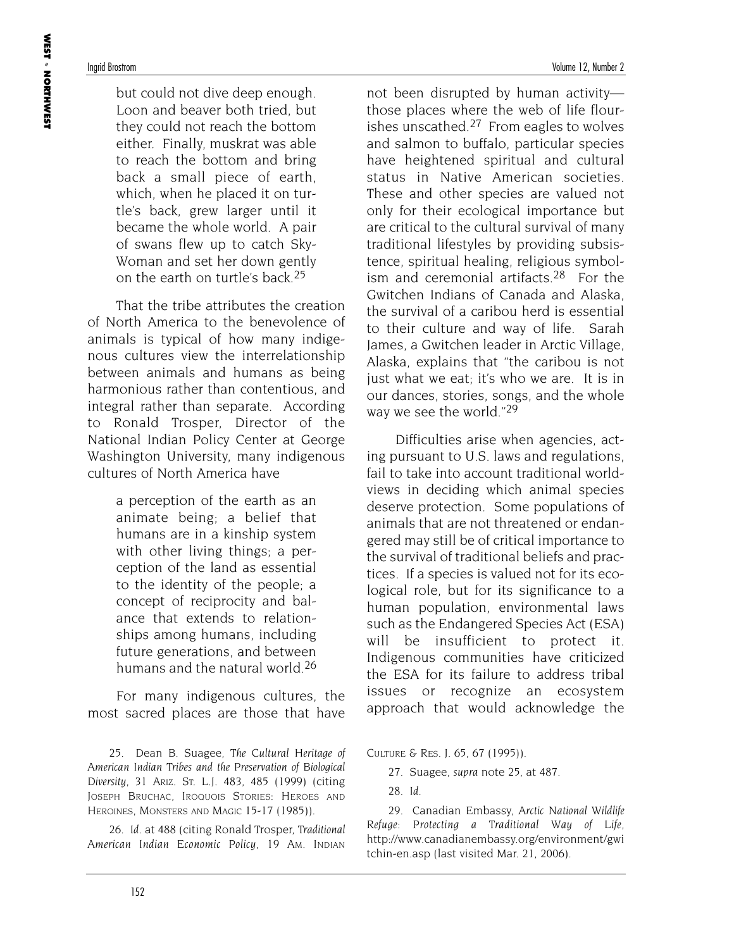**WEST**  NORTHWEST

but could not dive deep enough. Loon and beaver both tried, but they could not reach the bottom either. Finally, muskrat was able to reach the bottom and bring back a small piece of earth, which, when he placed it on turtle's back, grew larger until it became the whole world. A pair of swans flew up to catch Sky-Woman and set her down gently on the earth on turtle's back.25

That the tribe attributes the creation of North America to the benevolence of animals is typical of how many indigenous cultures view the interrelationship between animals and humans as being harmonious rather than contentious, and integral rather than separate. According to Ronald Trosper, Director of the National Indian Policy Center at George Washington University, many indigenous cultures of North America have

> a perception of the earth as an animate being; a belief that humans are in a kinship system with other living things; a perception of the land as essential to the identity of the people; a concept of reciprocity and balance that extends to relationships among humans, including future generations, and between humans and the natural world.26

For many indigenous cultures, the most sacred places are those that have

25. Dean B. Suagee, *The Cultural Heritage of American Indian Tribes and the Preservation of Biological Diversity*, 31 ARIZ. ST. L.J. 483, 485 (1999) (citing JOSEPH BRUCHAC, IROQUOIS STORIES: HEROES AND HEROINES, MONSTERS AND MAGIC 15-17 (1985)).

26. *Id.* at 488 (citing Ronald Trosper, *Traditional American Indian Economic Policy*, 19 AM. INDIAN

not been disrupted by human activity those places where the web of life flourishes unscathed.<sup>27</sup> From eagles to wolves and salmon to buffalo, particular species have heightened spiritual and cultural status in Native American societies. These and other species are valued not only for their ecological importance but are critical to the cultural survival of many traditional lifestyles by providing subsistence, spiritual healing, religious symbolism and ceremonial artifacts.<sup>28</sup> For the Gwitchen Indians of Canada and Alaska, the survival of a caribou herd is essential to their culture and way of life. Sarah James, a Gwitchen leader in Arctic Village, Alaska, explains that "the caribou is not just what we eat; it's who we are. It is in our dances, stories, songs, and the whole way we see the world."<sup>29</sup>

Difficulties arise when agencies, acting pursuant to U.S. laws and regulations, fail to take into account traditional worldviews in deciding which animal species deserve protection. Some populations of animals that are not threatened or endangered may still be of critical importance to the survival of traditional beliefs and practices. If a species is valued not for its ecological role, but for its significance to a human population, environmental laws such as the Endangered Species Act (ESA) will be insufficient to protect it. Indigenous communities have criticized the ESA for its failure to address tribal issues or recognize an ecosystem approach that would acknowledge the

CULTURE & RES. J. 65, 67 (1995)).

27. Suagee, *supra* note 25, at 487.

28. *Id.*

29. Canadian Embassy, *Arctic National Wildlife Refuge: Protecting a Traditional Way of Life*, http://www.canadianembassy.org/environment/gwi tchin-en.asp (last visited Mar. 21, 2006).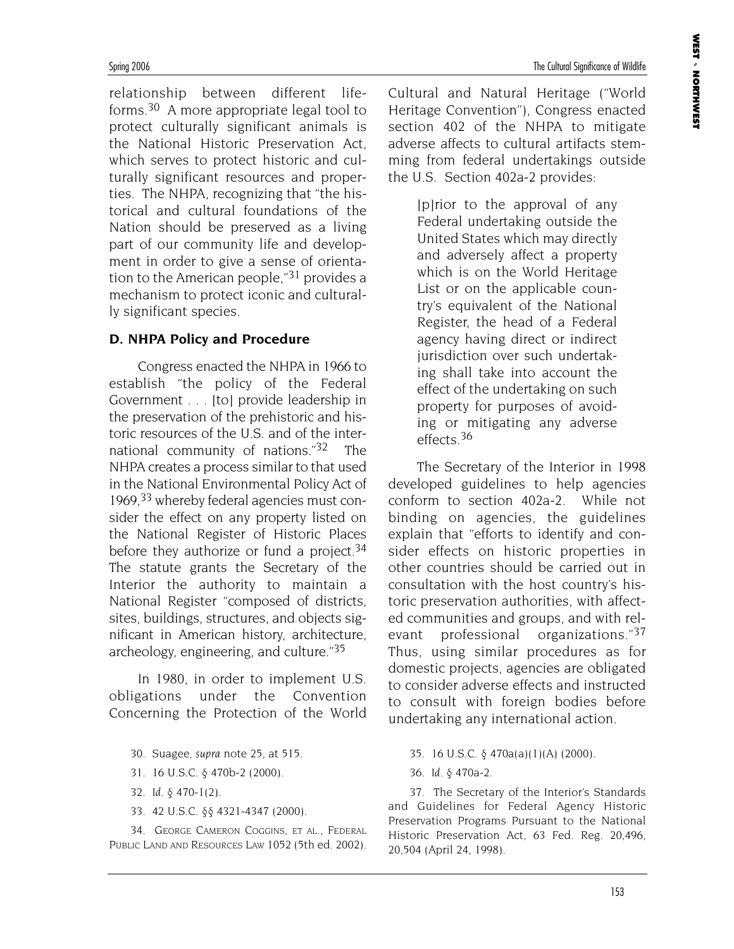relationship between different lifeforms.30 A more appropriate legal tool to protect culturally significant animals is the National Historic Preservation Act, which serves to protect historic and culturally significant resources and properties. The NHPA, recognizing that "the historical and cultural foundations of the Nation should be preserved as a living part of our community life and development in order to give a sense of orientation to the American people,"31 provides a mechanism to protect iconic and culturally significant species.

#### **D. NHPA Policy and Procedure**

Congress enacted the NHPA in 1966 to establish "the policy of the Federal Government . . . [to] provide leadership in the preservation of the prehistoric and historic resources of the U.S. and of the international community of nations."32 The NHPA creates a process similar to that used in the National Environmental Policy Act of 1969,  $33$  whereby federal agencies must consider the effect on any property listed on the National Register of Historic Places before they authorize or fund a project.<sup>34</sup> The statute grants the Secretary of the Interior the authority to maintain a National Register "composed of districts, sites, buildings, structures, and objects significant in American history, architecture, archeology, engineering, and culture."35

In 1980, in order to implement U.S. obligations under the Convention Concerning the Protection of the World

- 30. Suagee, *supra* note 25, at 515.
- 31. 16 U.S.C. § 470b-2 (2000).
- 32. *Id.* § 470-1(2).
- 33. 42 U.S.C. §§ 4321-4347 (2000).

34. GEORGE CAMERON COGGINS, ET AL., FEDERAL PUBLIC LAND AND RESOURCES LAW 1052 (5th ed. 2002). Cultural and Natural Heritage ("World Heritage Convention"), Congress enacted section 402 of the NHPA to mitigate adverse affects to cultural artifacts stemming from federal undertakings outside the U.S. Section 402a-2 provides:

> [p]rior to the approval of any Federal undertaking outside the United States which may directly and adversely affect a property which is on the World Heritage List or on the applicable country's equivalent of the National Register, the head of a Federal agency having direct or indirect jurisdiction over such undertaking shall take into account the effect of the undertaking on such property for purposes of avoiding or mitigating any adverse effects.36

The Secretary of the Interior in 1998 developed guidelines to help agencies conform to section 402a-2. While not binding on agencies, the guidelines explain that "efforts to identify and consider effects on historic properties in other countries should be carried out in consultation with the host country's historic preservation authorities, with affected communities and groups, and with relevant professional organizations."37 Thus, using similar procedures as for domestic projects, agencies are obligated to consider adverse effects and instructed to consult with foreign bodies before undertaking any international action.

- 35. 16 U.S.C. § 470a(a)(1)(A) (2000).
- 36. *Id.* § 470a-2.

37. The Secretary of the Interior's Standards and Guidelines for Federal Agency Historic Preservation Programs Pursuant to the National Historic Preservation Act, 63 Fed. Reg. 20,496, 20,504 (April 24, 1998).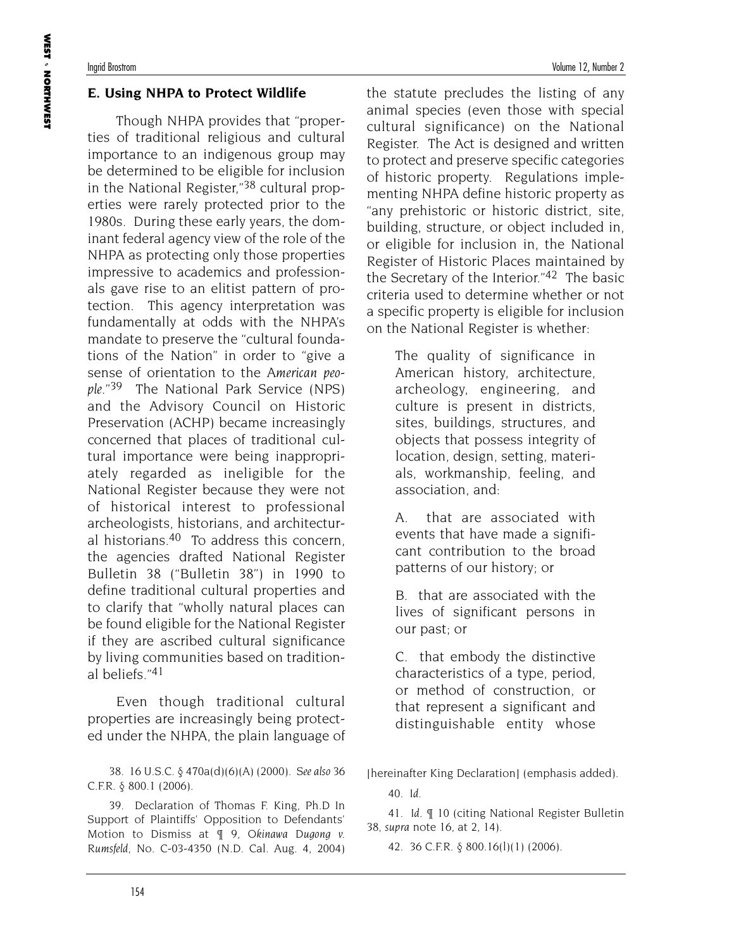#### **E. Using NHPA to Protect Wildlife**

Though NHPA provides that "properties of traditional religious and cultural importance to an indigenous group may be determined to be eligible for inclusion in the National Register,"38 cultural properties were rarely protected prior to the 1980s. During these early years, the dominant federal agency view of the role of the NHPA as protecting only those properties impressive to academics and professionals gave rise to an elitist pattern of protection. This agency interpretation was fundamentally at odds with the NHPA's mandate to preserve the "cultural foundations of the Nation" in order to "give a sense of orientation to the *American people*."39 The National Park Service (NPS) and the Advisory Council on Historic Preservation (ACHP) became increasingly concerned that places of traditional cultural importance were being inappropriately regarded as ineligible for the National Register because they were not of historical interest to professional archeologists, historians, and architectural historians.40 To address this concern, the agencies drafted National Register Bulletin 38 ("Bulletin 38") in 1990 to define traditional cultural properties and to clarify that "wholly natural places can be found eligible for the National Register if they are ascribed cultural significance by living communities based on traditional beliefs."41

Even though traditional cultural properties are increasingly being protected under the NHPA, the plain language of

38. 16 U.S.C. § 470a(d)(6)(A) (2000). *See also* 36 C.F.R. § 800.1 (2006).

39. Declaration of Thomas F. King, Ph.D In Support of Plaintiffs' Opposition to Defendants' Motion to Dismiss at ¶ 9, *Okinawa Dugong v. Rumsfeld*, No. C-03-4350 (N.D. Cal. Aug. 4, 2004) the statute precludes the listing of any animal species (even those with special cultural significance) on the National Register. The Act is designed and written to protect and preserve specific categories of historic property. Regulations implementing NHPA define historic property as "any prehistoric or historic district, site, building, structure, or object included in, or eligible for inclusion in, the National Register of Historic Places maintained by the Secretary of the Interior."<sup>42</sup> The basic criteria used to determine whether or not a specific property is eligible for inclusion on the National Register is whether:

> The quality of significance in American history, architecture, archeology, engineering, and culture is present in districts, sites, buildings, structures, and objects that possess integrity of location, design, setting, materials, workmanship, feeling, and association, and:

A. that are associated with events that have made a significant contribution to the broad patterns of our history; or

B. that are associated with the lives of significant persons in our past; or

C. that embody the distinctive characteristics of a type, period, or method of construction, or that represent a significant and distinguishable entity whose

[hereinafter King Declaration] (emphasis added).

40. *Id.*

41. *Id.* ¶ 10 (citing National Register Bulletin 38, *supra* note 16, at 2, 14).

42. 36 C.F.R. § 800.16(l)(1) (2006).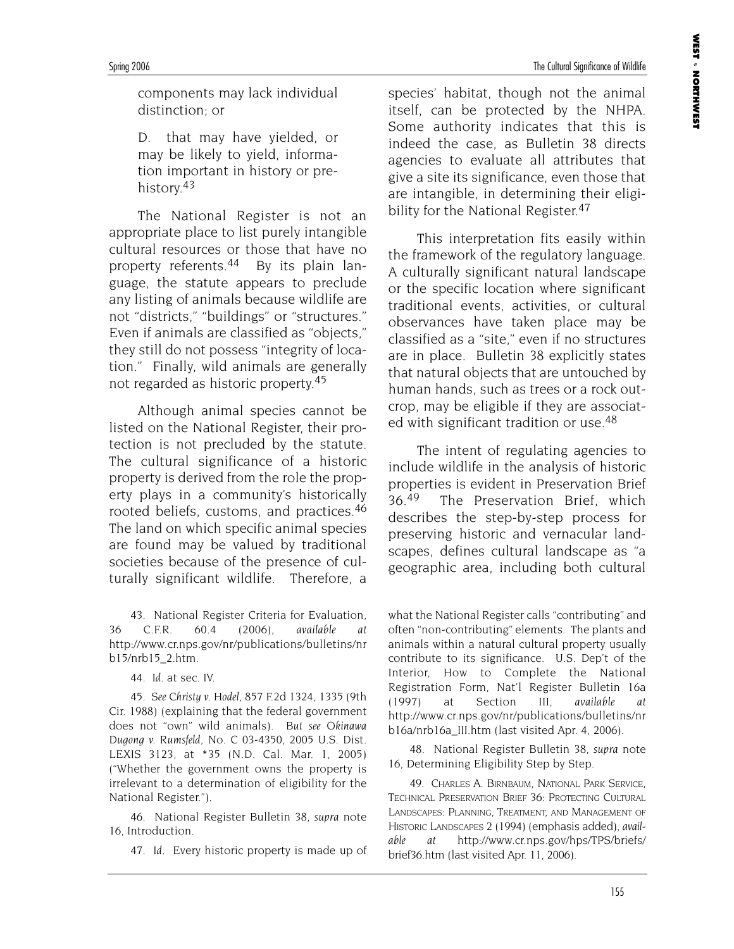Spring 2006 The Cultural Significance of Wildlife

components may lack individual distinction; or

D. that may have yielded, or may be likely to yield, information important in history or prehistory.<sup>43</sup>

The National Register is not an appropriate place to list purely intangible cultural resources or those that have no property referents.44 By its plain language, the statute appears to preclude any listing of animals because wildlife are not "districts," "buildings" or "structures." Even if animals are classified as "objects," they still do not possess "integrity of location." Finally, wild animals are generally not regarded as historic property.45

Although animal species cannot be listed on the National Register, their protection is not precluded by the statute. The cultural significance of a historic property is derived from the role the property plays in a community's historically rooted beliefs, customs, and practices.46 The land on which specific animal species are found may be valued by traditional societies because of the presence of culturally significant wildlife. Therefore, a

43. National Register Criteria for Evaluation, 36 C.F.R. 60.4 (2006), *available at* http://www.cr.nps.gov/nr/publications/bulletins/nr b15/nrb15\_2.htm.

44. *Id*. at sec. IV.

45. *See Christy v. Hodel*, 857 F.2d 1324, 1335 (9th Cir. 1988) (explaining that the federal government does not "own" wild animals). *But see Okinawa Dugong v. Rumsfeld*, No. C 03-4350, 2005 U.S. Dist. LEXIS 3123, at \*35 (N.D. Cal. Mar. 1, 2005) ("Whether the government owns the property is irrelevant to a determination of eligibility for the National Register.").

46. National Register Bulletin 38, *supra* note 16, Introduction.

47. *Id.* Every historic property is made up of

species' habitat, though not the animal itself, can be protected by the NHPA. Some authority indicates that this is indeed the case, as Bulletin 38 directs agencies to evaluate all attributes that give a site its significance, even those that are intangible, in determining their eligibility for the National Register.<sup>47</sup>

This interpretation fits easily within the framework of the regulatory language. A culturally significant natural landscape or the specific location where significant traditional events, activities, or cultural observances have taken place may be classified as a "site," even if no structures are in place. Bulletin 38 explicitly states that natural objects that are untouched by human hands, such as trees or a rock outcrop, may be eligible if they are associated with significant tradition or use.48

The intent of regulating agencies to include wildlife in the analysis of historic properties is evident in Preservation Brief 36.<sup>49</sup> The Preservation Brief, which describes the step-by-step process for preserving historic and vernacular landscapes, defines cultural landscape as "a geographic area, including both cultural

what the National Register calls "contributing" and often "non-contributing" elements. The plants and animals within a natural cultural property usually contribute to its significance. U.S. Dep't of the Interior, How to Complete the National Registration Form, Nat'l Register Bulletin 16a (1997) at Section III, *available at* http://www.cr.nps.gov/nr/publications/bulletins/nr b16a/nrb16a\_III.htm (last visited Apr. 4, 2006).

48. National Register Bulletin 38, *supra* note 16, Determining Eligibility Step by Step.

49. CHARLES A. BIRNBAUM, NATIONAL PARK SERVICE, TECHNICAL PRESERVATION BRIEF 36: PROTECTING CULTURAL LANDSCAPES: PLANNING, TREATMENT, AND MANAGEMENT OF HISTORIC LANDSCAPES 2 (1994) (emphasis added), *available at* http://www.cr.nps.gov/hps/TPS/briefs/ brief36.htm (last visited Apr. 11, 2006).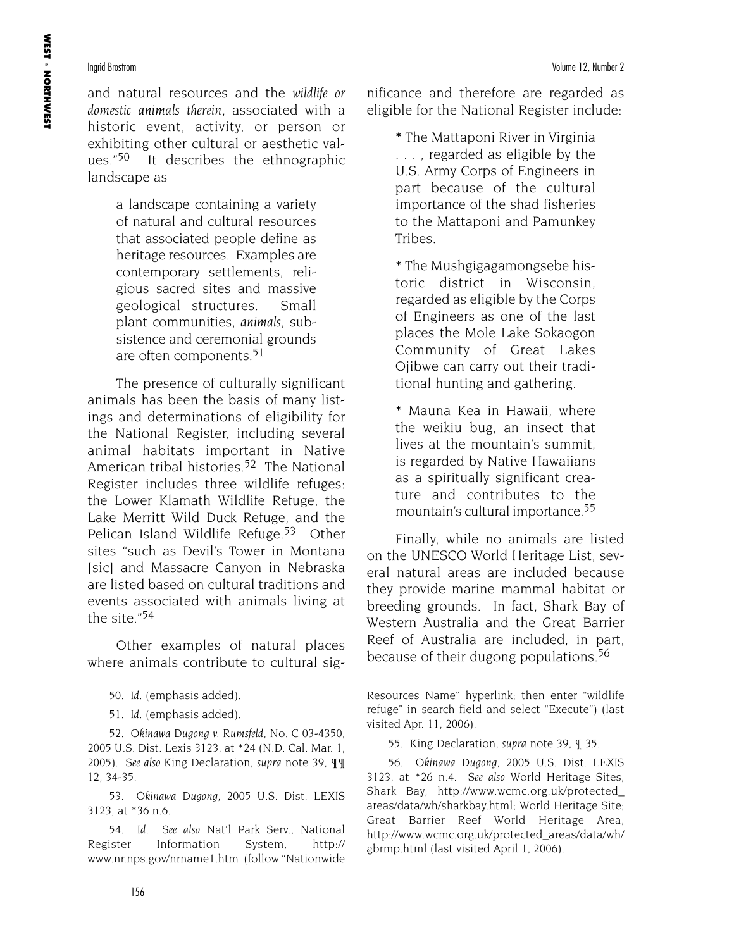and natural resources and the *wildlife or domestic animals therein*, associated with a historic event, activity, or person or exhibiting other cultural or aesthetic values."50 It describes the ethnographic landscape as

> a landscape containing a variety of natural and cultural resources that associated people define as heritage resources. Examples are contemporary settlements, religious sacred sites and massive geological structures. Small plant communities, *animals*, subsistence and ceremonial grounds are often components.<sup>51</sup>

The presence of culturally significant animals has been the basis of many listings and determinations of eligibility for the National Register, including several animal habitats important in Native American tribal histories.<sup>52</sup> The National Register includes three wildlife refuges: the Lower Klamath Wildlife Refuge, the Lake Merritt Wild Duck Refuge, and the Pelican Island Wildlife Refuge.<sup>53</sup> Other sites "such as Devil's Tower in Montana [sic] and Massacre Canyon in Nebraska are listed based on cultural traditions and events associated with animals living at the site."<sup>54</sup>

Other examples of natural places where animals contribute to cultural sig-

50. *Id.* (emphasis added).

51. *Id.* (emphasis added).

52. *Okinawa Dugong v. Rumsfeld*, No. C 03-4350, 2005 U.S. Dist. Lexis 3123, at \*24 (N.D. Cal. Mar. 1, 2005). *See also* King Declaration, *supra* note 39, ¶¶ 12, 34-35.

53. *Okinawa Dugong*, 2005 U.S. Dist. LEXIS 3123, at \*36 n.6.

54. *Id. See also* Nat'l Park Serv., National Register Information System, http:// www.nr.nps.gov/nrname1.htm (follow "Nationwide nificance and therefore are regarded as eligible for the National Register include:

> **\*** The Mattaponi River in Virginia . . . , regarded as eligible by the U.S. Army Corps of Engineers in part because of the cultural importance of the shad fisheries to the Mattaponi and Pamunkey Tribes.

> **\*** The Mushgigagamongsebe historic district in Wisconsin, regarded as eligible by the Corps of Engineers as one of the last places the Mole Lake Sokaogon Community of Great Lakes Ojibwe can carry out their traditional hunting and gathering.

> **\*** Mauna Kea in Hawaii, where the weikiu bug, an insect that lives at the mountain's summit, is regarded by Native Hawaiians as a spiritually significant creature and contributes to the mountain's cultural importance.55

Finally, while no animals are listed on the UNESCO World Heritage List, several natural areas are included because they provide marine mammal habitat or breeding grounds. In fact, Shark Bay of Western Australia and the Great Barrier Reef of Australia are included, in part, because of their dugong populations.<sup>56</sup>

Resources Name" hyperlink; then enter "wildlife refuge" in search field and select "Execute") (last visited Apr. 11, 2006).

55. King Declaration, *supra* note 39, ¶ 35.

56. *Okinawa Dugong*, 2005 U.S. Dist. LEXIS 3123, at \*26 n.4. *See also* World Heritage Sites, Shark Bay, http://www.wcmc.org.uk/protected\_ areas/data/wh/sharkbay.html; World Heritage Site; Great Barrier Reef World Heritage Area, http://www.wcmc.org.uk/protected\_areas/data/wh/ gbrmp.html (last visited April 1, 2006).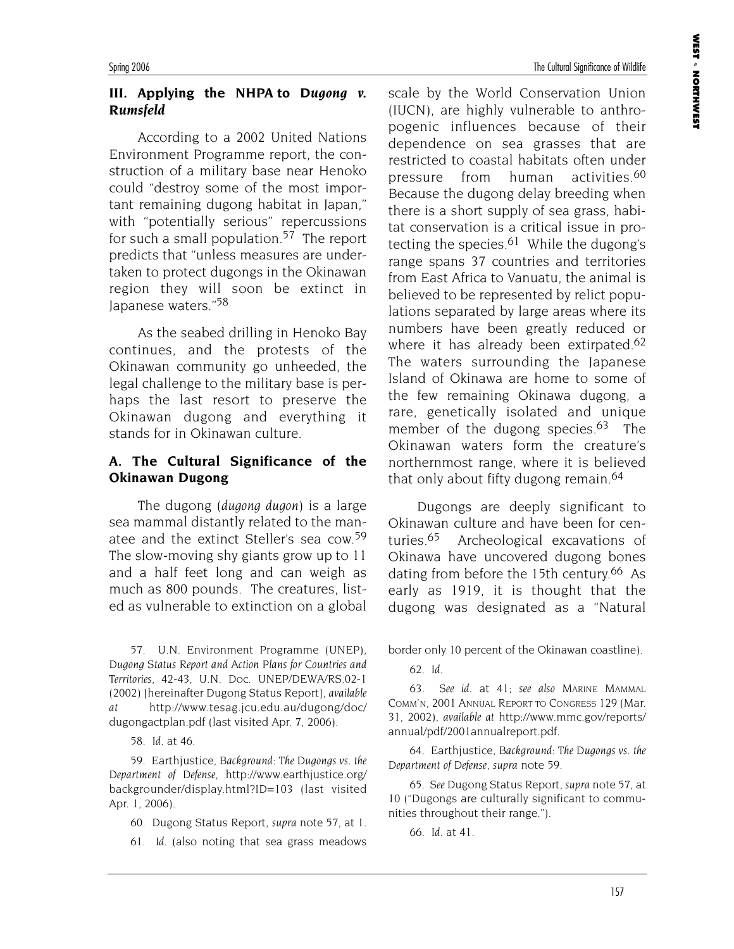### **III. Applying the NHPA to** *Dugong v. Rumsfeld*

According to a 2002 United Nations Environment Programme report, the construction of a military base near Henoko could "destroy some of the most important remaining dugong habitat in Japan," with "potentially serious" repercussions for such a small population.<sup>57</sup> The report predicts that "unless measures are undertaken to protect dugongs in the Okinawan region they will soon be extinct in Japanese waters."58

As the seabed drilling in Henoko Bay continues, and the protests of the Okinawan community go unheeded, the legal challenge to the military base is perhaps the last resort to preserve the Okinawan dugong and everything it stands for in Okinawan culture.

### **A. The Cultural Significance of the Okinawan Dugong**

The dugong (*dugong dugon*) is a large sea mammal distantly related to the manatee and the extinct Steller's sea cow.<sup>59</sup> The slow-moving shy giants grow up to 11 and a half feet long and can weigh as much as 800 pounds. The creatures, listed as vulnerable to extinction on a global

57. U.N. Environment Programme (UNEP), *Dugong Status Report and Action Plans for Countries and Territories*, 42-43, U.N. Doc. UNEP/DEWA/RS.02-1 (2002) [hereinafter Dugong Status Report], *available at* http://www.tesag.jcu.edu.au/dugong/doc/ dugongactplan.pdf (last visited Apr. 7, 2006).

58. *Id.* at 46.

59. Earthjustice, *Background: The Dugongs vs. the Department of Defense*, http://www.earthjustice.org/ backgrounder/display.html?ID=103 (last visited Apr. 1, 2006).

- 60. Dugong Status Report, *supra* note 57, at 1.
- 61. *Id.* (also noting that sea grass meadows

scale by the World Conservation Union (IUCN), are highly vulnerable to anthropogenic influences because of their dependence on sea grasses that are restricted to coastal habitats often under pressure from human activities.<sup>60</sup> Because the dugong delay breeding when there is a short supply of sea grass, habitat conservation is a critical issue in protecting the species.<sup>61</sup> While the dugong's range spans 37 countries and territories from East Africa to Vanuatu, the animal is believed to be represented by relict populations separated by large areas where its numbers have been greatly reduced or where it has already been extirpated.<sup>62</sup> The waters surrounding the Japanese Island of Okinawa are home to some of the few remaining Okinawa dugong, a rare, genetically isolated and unique member of the dugong species.<sup>63</sup> The Okinawan waters form the creature's northernmost range, where it is believed that only about fifty dugong remain.<sup>64</sup>

Dugongs are deeply significant to Okinawan culture and have been for centuries.65 Archeological excavations of Okinawa have uncovered dugong bones dating from before the 15th century.<sup>66</sup> As early as 1919, it is thought that the dugong was designated as a "Natural

border only 10 percent of the Okinawan coastline).

62. *Id.*

63. *See id.* at 41; *see also* MARINE MAMMAL COMM'N, 2001 ANNUAL REPORT TO CONGRESS 129 (Mar. 31, 2002), *available at* http://www.mmc.gov/reports/ annual/pdf/2001annualreport.pdf.

64. Earthjustice, *Background: The Dugongs vs. the Department of Defense, supra* note 59.

65. *See* Dugong Status Report, *supra* note 57, at 10 ("Dugongs are culturally significant to communities throughout their range.").

66. *Id.* at 41.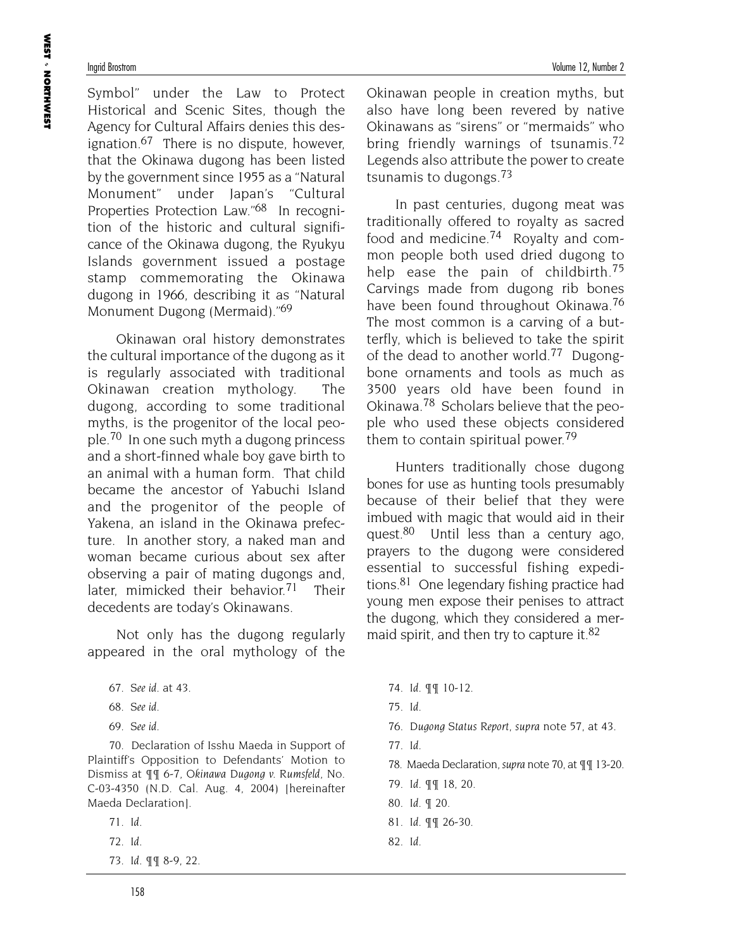Symbol" under the Law to Protect Historical and Scenic Sites, though the Agency for Cultural Affairs denies this designation.<sup>67</sup> There is no dispute, however, that the Okinawa dugong has been listed by the government since 1955 as a "Natural Monument" under Japan's "Cultural Properties Protection Law."<sup>68</sup> In recognition of the historic and cultural significance of the Okinawa dugong, the Ryukyu Islands government issued a postage stamp commemorating the Okinawa dugong in 1966, describing it as "Natural Monument Dugong (Mermaid)."<sup>69</sup>

Okinawan oral history demonstrates the cultural importance of the dugong as it is regularly associated with traditional Okinawan creation mythology. The dugong, according to some traditional myths, is the progenitor of the local people.70 In one such myth a dugong princess and a short-finned whale boy gave birth to an animal with a human form. That child became the ancestor of Yabuchi Island and the progenitor of the people of Yakena, an island in the Okinawa prefecture. In another story, a naked man and woman became curious about sex after observing a pair of mating dugongs and, later, mimicked their behavior.<sup>71</sup> Their decedents are today's Okinawans.

Not only has the dugong regularly appeared in the oral mythology of the

- 67. *See id.* at 43.
- 68. *See id.*
- 69. *See id.*

70. Declaration of Isshu Maeda in Support of Plaintiff's Opposition to Defendants' Motion to Dismiss at ¶¶ 6-7, *Okinawa Dugong v. Rumsfeld*, No. C-03-4350 (N.D. Cal. Aug. 4, 2004) [hereinafter Maeda Declaration].

- 71. *Id.*
- 72. *Id.*
- 73. *Id*. ¶¶ 8-9, 22.

Okinawan people in creation myths, but also have long been revered by native Okinawans as "sirens" or "mermaids" who bring friendly warnings of tsunamis.<sup>72</sup> Legends also attribute the power to create tsunamis to dugongs.<sup>73</sup>

In past centuries, dugong meat was traditionally offered to royalty as sacred food and medicine.74 Royalty and common people both used dried dugong to help ease the pain of childbirth.75 Carvings made from dugong rib bones have been found throughout Okinawa.<sup>76</sup> The most common is a carving of a butterfly, which is believed to take the spirit of the dead to another world.<sup>77</sup> Dugongbone ornaments and tools as much as 3500 years old have been found in Okinawa.78 Scholars believe that the people who used these objects considered them to contain spiritual power.<sup>79</sup>

Hunters traditionally chose dugong bones for use as hunting tools presumably because of their belief that they were imbued with magic that would aid in their quest.80 Until less than a century ago, prayers to the dugong were considered essential to successful fishing expeditions.81 One legendary fishing practice had young men expose their penises to attract the dugong, which they considered a mermaid spirit, and then try to capture it.<sup>82</sup>

- 74. *Id*. ¶¶ 10-12.
- 75. *Id.*
- *76. Dugong Status Report*, *supra* note 57, at 43.
- 77. *Id.*
- 78. Maeda Declaration, *supra* note 70, at ¶¶ 13-20.
- 79. *Id*. ¶¶ 18, 20.
- 80. *Id.* ¶ 20.
- 81. *Id.* ¶¶ 26-30.
- 82. *Id.*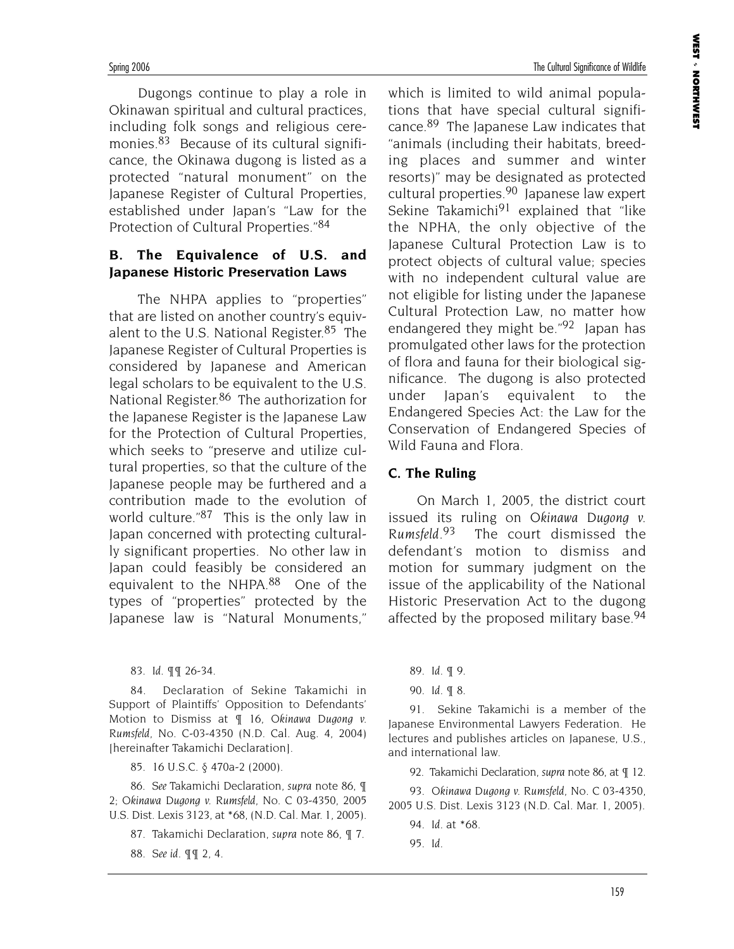Dugongs continue to play a role in Okinawan spiritual and cultural practices, including folk songs and religious ceremonies.<sup>83</sup> Because of its cultural significance, the Okinawa dugong is listed as a protected "natural monument" on the Japanese Register of Cultural Properties, established under Japan's "Law for the Protection of Cultural Properties."84

#### **B. The Equivalence of U.S. and Japanese Historic Preservation Laws**

The NHPA applies to "properties" that are listed on another country's equivalent to the U.S. National Register.85 The Japanese Register of Cultural Properties is considered by Japanese and American legal scholars to be equivalent to the U.S. National Register.<sup>86</sup> The authorization for the Japanese Register is the Japanese Law for the Protection of Cultural Properties, which seeks to "preserve and utilize cultural properties, so that the culture of the Japanese people may be furthered and a contribution made to the evolution of world culture."87 This is the only law in Japan concerned with protecting culturally significant properties. No other law in Japan could feasibly be considered an equivalent to the NHPA.88 One of the types of "properties" protected by the Japanese law is "Natural Monuments,"

83. *Id*. ¶¶ 26-34.

84. Declaration of Sekine Takamichi in Support of Plaintiffs' Opposition to Defendants' Motion to Dismiss at ¶ 16, *Okinawa Dugong v. Rumsfeld*, No. C-03-4350 (N.D. Cal. Aug. 4, 2004) [hereinafter Takamichi Declaration].

85. 16 U.S.C. § 470a-2 (2000).

86. *See* Takamichi Declaration, *supra* note 86, ¶ 2; *Okinawa Dugong v. Rumsfeld*, No. C 03-4350, 2005 U.S. Dist. Lexis 3123, at \*68, (N.D. Cal. Mar. 1, 2005).

- 87. Takamichi Declaration, *supra* note 86, ¶ 7.
- 88. *See id.* ¶¶ 2, 4.

which is limited to wild animal populations that have special cultural significance.<sup>89</sup> The Japanese Law indicates that "animals (including their habitats, breeding places and summer and winter resorts)" may be designated as protected cultural properties.<sup>90</sup> Japanese law expert Sekine Takamichi<sup>91</sup> explained that "like the NPHA, the only objective of the Japanese Cultural Protection Law is to protect objects of cultural value; species with no independent cultural value are not eligible for listing under the Japanese Cultural Protection Law, no matter how endangered they might be."<sup>92</sup> Japan has promulgated other laws for the protection of flora and fauna for their biological significance. The dugong is also protected under Japan's equivalent to the Endangered Species Act: the Law for the Conservation of Endangered Species of Wild Fauna and Flora.

### **C. The Ruling**

On March 1, 2005, the district court issued its ruling on *Okinawa Dugong v. Rumsfeld*. The court dismissed the defendant's motion to dismiss and motion for summary judgment on the issue of the applicability of the National Historic Preservation Act to the dugong affected by the proposed military base.<sup>94</sup>

89. *Id.* ¶ 9.

91. Sekine Takamichi is a member of the Japanese Environmental Lawyers Federation. He lectures and publishes articles on Japanese, U.S., and international law.

92. Takamichi Declaration, *supra* note 86, at ¶ 12.

93. *Okinawa Dugong v. Rumsfeld*, No. C 03-4350, 2005 U.S. Dist. Lexis 3123 (N.D. Cal. Mar. 1, 2005).

94. *Id.* at \*68.

95. *Id.*

<sup>90.</sup> *Id.* ¶ 8.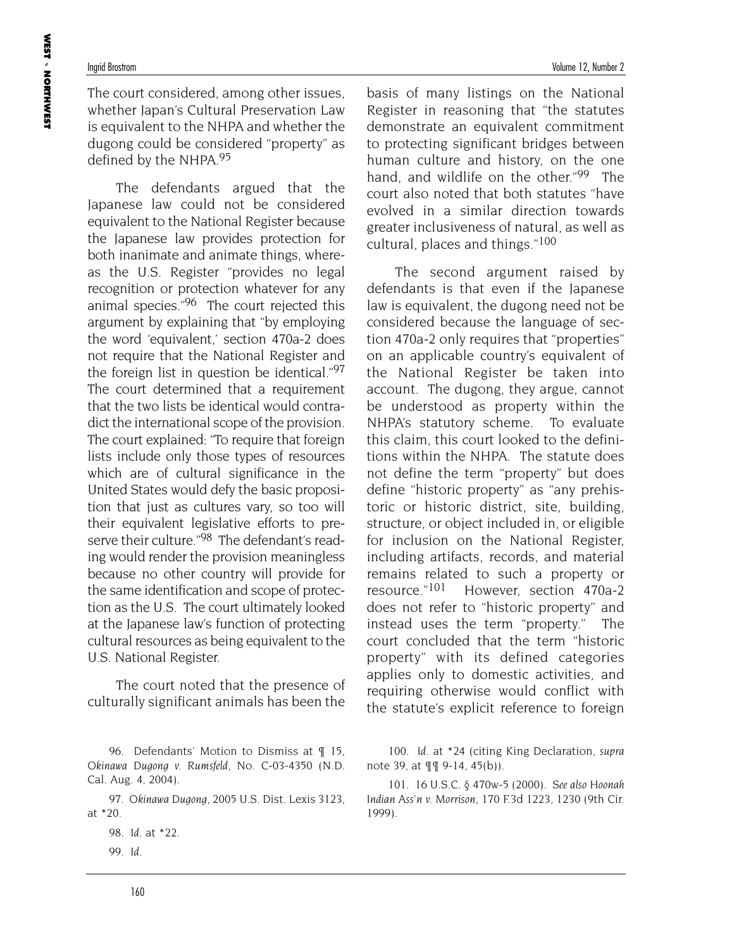The court considered, among other issues, whether Japan's Cultural Preservation Law is equivalent to the NHPA and whether the dugong could be considered "property" as defined by the NHPA.<sup>95</sup>

The defendants argued that the Japanese law could not be considered equivalent to the National Register because the Japanese law provides protection for both inanimate and animate things, whereas the U.S. Register "provides no legal recognition or protection whatever for any animal species."<sup>96</sup> The court rejected this argument by explaining that "by employing the word 'equivalent,' section 470a-2 does not require that the National Register and the foreign list in question be identical."97 The court determined that a requirement that the two lists be identical would contradict the international scope of the provision. The court explained: "To require that foreign lists include only those types of resources which are of cultural significance in the United States would defy the basic proposition that just as cultures vary, so too will their equivalent legislative efforts to preserve their culture."<sup>98</sup> The defendant's reading would render the provision meaningless because no other country will provide for the same identification and scope of protection as the U.S. The court ultimately looked at the Japanese law's function of protecting cultural resources as being equivalent to the U.S. National Register.

The court noted that the presence of culturally significant animals has been the

97. *Okinawa Dugong*, 2005 U.S. Dist. Lexis 3123, at \*20.

basis of many listings on the National Register in reasoning that "the statutes demonstrate an equivalent commitment to protecting significant bridges between human culture and history, on the one hand, and wildlife on the other."<sup>99</sup> The court also noted that both statutes "have evolved in a similar direction towards greater inclusiveness of natural, as well as cultural, places and things."100

The second argument raised by defendants is that even if the Japanese law is equivalent, the dugong need not be considered because the language of section 470a-2 only requires that "properties" on an applicable country's equivalent of the National Register be taken into account. The dugong, they argue, cannot be understood as property within the NHPA's statutory scheme. To evaluate this claim, this court looked to the definitions within the NHPA. The statute does not define the term "property" but does define "historic property" as "any prehistoric or historic district, site, building, structure, or object included in, or eligible for inclusion on the National Register, including artifacts, records, and material remains related to such a property or resource."101 However, section 470a-2 does not refer to "historic property" and instead uses the term "property." The court concluded that the term "historic property" with its defined categories applies only to domestic activities, and requiring otherwise would conflict with the statute's explicit reference to foreign

100. *Id.* at \*24 (citing King Declaration, *supra* note 39, at ¶¶ 9-14, 45(b)).

101. 16 U.S.C. § 470w-5 (2000). *See also Hoonah Indian Ass'n v. Morrison*, 170 F.3d 1223, 1230 (9th Cir. 1999).

<sup>96.</sup> Defendants' Motion to Dismiss at ¶ 15, *Okinawa Dugong v. Rumsfeld*, No. C-03-4350 (N.D. Cal. Aug. 4, 2004).

<sup>98.</sup> *Id.* at \*22.

<sup>99.</sup> *Id.*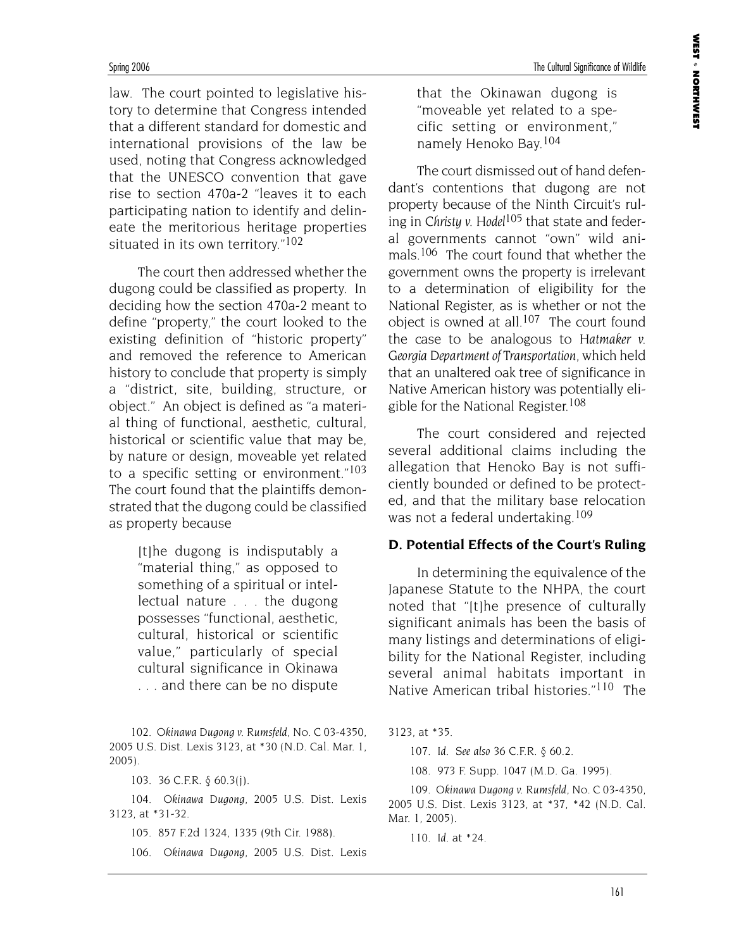law. The court pointed to legislative history to determine that Congress intended that a different standard for domestic and international provisions of the law be used, noting that Congress acknowledged that the UNESCO convention that gave rise to section 470a-2 "leaves it to each participating nation to identify and delineate the meritorious heritage properties situated in its own territory."<sup>102</sup>

The court then addressed whether the dugong could be classified as property. In deciding how the section 470a-2 meant to define "property," the court looked to the existing definition of "historic property" and removed the reference to American history to conclude that property is simply a "district, site, building, structure, or object." An object is defined as "a material thing of functional, aesthetic, cultural, historical or scientific value that may be, by nature or design, moveable yet related to a specific setting or environment."103 The court found that the plaintiffs demonstrated that the dugong could be classified as property because

> [t]he dugong is indisputably a "material thing," as opposed to something of a spiritual or intellectual nature . . . the dugong possesses "functional, aesthetic, cultural, historical or scientific value," particularly of special cultural significance in Okinawa . . . and there can be no dispute

102. *Okinawa Dugong v. Rumsfeld*, No. C 03-4350, 2005 U.S. Dist. Lexis 3123, at \*30 (N.D. Cal. Mar. 1, 2005).

103. 36 C.F.R. § 60.3(j).

104. *Okinawa Dugong*, 2005 U.S. Dist. Lexis 3123, at \*31-32.

105. 857 F.2d 1324, 1335 (9th Cir. 1988).

106. *Okinawa Dugong*, 2005 U.S. Dist. Lexis

that the Okinawan dugong is "moveable yet related to a specific setting or environment," namely Henoko Bay.104

The court dismissed out of hand defendant's contentions that dugong are not property because of the Ninth Circuit's ruling in *Christy v. Hodel*105 that state and federal governments cannot "own" wild animals.<sup>106</sup> The court found that whether the government owns the property is irrelevant to a determination of eligibility for the National Register, as is whether or not the object is owned at all.<sup>107</sup> The court found the case to be analogous to *Hatmaker v. Georgia Department of Transportation*, which held that an unaltered oak tree of significance in Native American history was potentially eligible for the National Register.108

The court considered and rejected several additional claims including the allegation that Henoko Bay is not sufficiently bounded or defined to be protected, and that the military base relocation was not a federal undertaking.<sup>109</sup>

#### **D. Potential Effects of the Court's Ruling**

In determining the equivalence of the Japanese Statute to the NHPA, the court noted that "[t]he presence of culturally significant animals has been the basis of many listings and determinations of eligibility for the National Register, including several animal habitats important in Native American tribal histories."110 The

3123, at \*35.

107. *Id*. *See also* 36 C.F.R. § 60.2.

108. 973 F. Supp. 1047 (M.D. Ga. 1995).

109. *Okinawa Dugong v. Rumsfeld*, No. C 03-4350, 2005 U.S. Dist. Lexis 3123, at \*37, \*42 (N.D. Cal. Mar. 1, 2005).

110. *Id.* at \*24.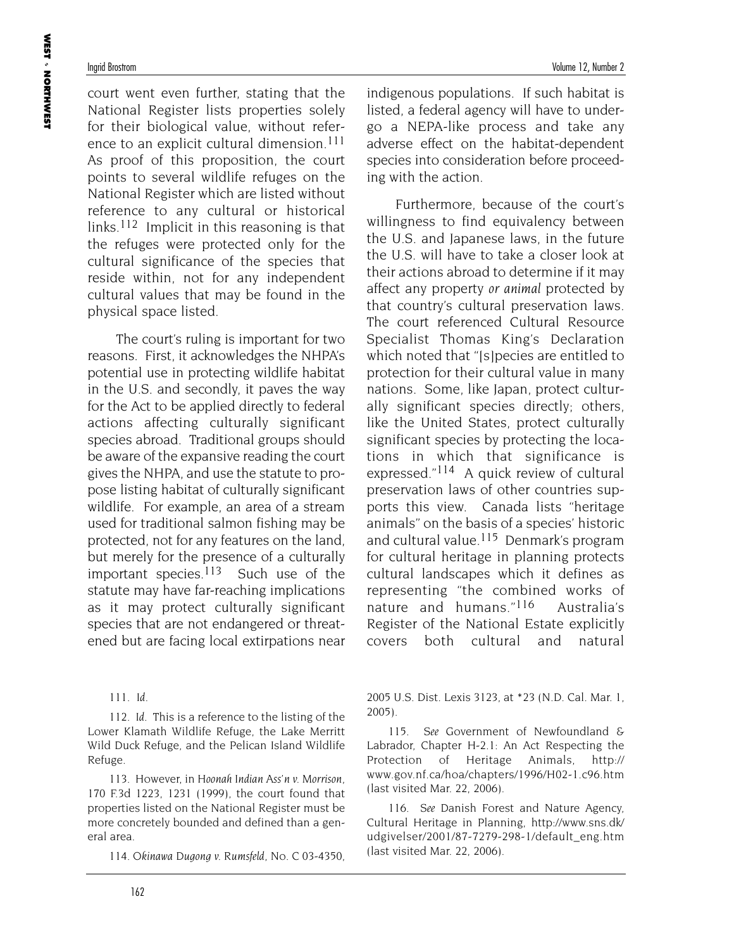court went even further, stating that the National Register lists properties solely for their biological value, without reference to an explicit cultural dimension.<sup>111</sup> As proof of this proposition, the court points to several wildlife refuges on the National Register which are listed without reference to any cultural or historical links.<sup>112</sup> Implicit in this reasoning is that the refuges were protected only for the cultural significance of the species that reside within, not for any independent cultural values that may be found in the physical space listed.

The court's ruling is important for two reasons. First, it acknowledges the NHPA's potential use in protecting wildlife habitat in the U.S. and secondly, it paves the way for the Act to be applied directly to federal actions affecting culturally significant species abroad. Traditional groups should be aware of the expansive reading the court gives the NHPA, and use the statute to propose listing habitat of culturally significant wildlife. For example, an area of a stream used for traditional salmon fishing may be protected, not for any features on the land, but merely for the presence of a culturally important species.<sup>113</sup> Such use of the statute may have far-reaching implications as it may protect culturally significant species that are not endangered or threatened but are facing local extirpations near

111. *Id*.

112. *Id*. This is a reference to the listing of the Lower Klamath Wildlife Refuge, the Lake Merritt Wild Duck Refuge, and the Pelican Island Wildlife Refuge.

113. However, in *Hoonah Indian Ass'n v. Morrison*, 170 F.3d 1223, 1231 (1999), the court found that properties listed on the National Register must be more concretely bounded and defined than a general area.

114. *Okinawa Dugong v. Rumsfeld*, No. C 03-4350,

indigenous populations. If such habitat is listed, a federal agency will have to undergo a NEPA-like process and take any adverse effect on the habitat-dependent species into consideration before proceeding with the action.

Furthermore, because of the court's willingness to find equivalency between the U.S. and Japanese laws, in the future the U.S. will have to take a closer look at their actions abroad to determine if it may affect any property *or animal* protected by that country's cultural preservation laws. The court referenced Cultural Resource Specialist Thomas King's Declaration which noted that "[s]pecies are entitled to protection for their cultural value in many nations. Some, like Japan, protect culturally significant species directly; others, like the United States, protect culturally significant species by protecting the locations in which that significance is expressed."114 A quick review of cultural preservation laws of other countries supports this view. Canada lists "heritage animals" on the basis of a species' historic and cultural value.<sup>115</sup> Denmark's program for cultural heritage in planning protects cultural landscapes which it defines as representing "the combined works of nature and humans."<sup>116</sup> Australia's Register of the National Estate explicitly covers both cultural and natural

2005 U.S. Dist. Lexis 3123, at \*23 (N.D. Cal. Mar. 1, 2005).

115. *See* Government of Newfoundland & Labrador, Chapter H-2.1: An Act Respecting the Protection of Heritage Animals, http:// www.gov.nf.ca/hoa/chapters/1996/H02-1.c96.htm (last visited Mar. 22, 2006).

116. *See* Danish Forest and Nature Agency, Cultural Heritage in Planning, http://www.sns.dk/ udgivelser/2001/87-7279-298-1/default\_eng.htm (last visited Mar. 22, 2006).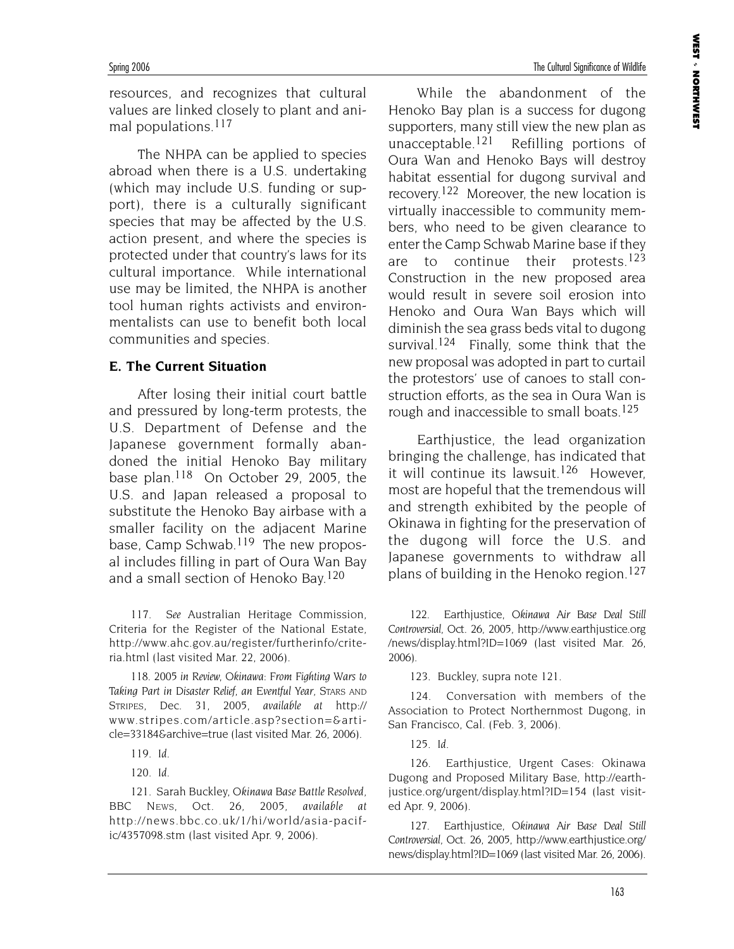resources, and recognizes that cultural values are linked closely to plant and animal populations.117

The NHPA can be applied to species abroad when there is a U.S. undertaking (which may include U.S. funding or support), there is a culturally significant species that may be affected by the U.S. action present, and where the species is protected under that country's laws for its cultural importance. While international use may be limited, the NHPA is another tool human rights activists and environmentalists can use to benefit both local communities and species.

#### **E. The Current Situation**

After losing their initial court battle and pressured by long-term protests, the U.S. Department of Defense and the Japanese government formally abandoned the initial Henoko Bay military base plan.<sup>118</sup> On October 29, 2005, the U.S. and Japan released a proposal to substitute the Henoko Bay airbase with a smaller facility on the adjacent Marine base, Camp Schwab.119 The new proposal includes filling in part of Oura Wan Bay and a small section of Henoko Bay.120

117. *See* Australian Heritage Commission, Criteria for the Register of the National Estate, http://www.ahc.gov.au/register/furtherinfo/criteria.html (last visited Mar. 22, 2006).

118. *2005 in Review, Okinawa: From Fighting Wars to Taking Part in Disaster Relief, an Eventful Year*, STARS AND STRIPES, Dec. 31, 2005, *available at* http:// www.stripes.com/article.asp?section=&article=33184&archive=true (last visited Mar. 26, 2006).

120. *Id.*

121. Sarah Buckley, *Okinawa Base Battle Resolved*, BBC NEWS, Oct. 26, 2005, *available at* http://news.bbc.co.uk/1/hi/world/asia-pacific/4357098.stm (last visited Apr. 9, 2006).

While the abandonment of the Henoko Bay plan is a success for dugong supporters, many still view the new plan as unacceptable.<sup>121</sup> Refilling portions of Oura Wan and Henoko Bays will destroy habitat essential for dugong survival and recovery.122 Moreover, the new location is virtually inaccessible to community members, who need to be given clearance to enter the Camp Schwab Marine base if they are to continue their protests.<sup>123</sup> Construction in the new proposed area would result in severe soil erosion into Henoko and Oura Wan Bays which will diminish the sea grass beds vital to dugong survival.<sup>124</sup> Finally, some think that the new proposal was adopted in part to curtail the protestors' use of canoes to stall construction efforts, as the sea in Oura Wan is rough and inaccessible to small boats.<sup>125</sup>

Earthjustice, the lead organization bringing the challenge, has indicated that it will continue its lawsuit.126 However, most are hopeful that the tremendous will and strength exhibited by the people of Okinawa in fighting for the preservation of the dugong will force the U.S. and Japanese governments to withdraw all plans of building in the Henoko region.<sup>127</sup>

122. Earthjustice, *Okinawa Air Base Deal Still Controversial*, Oct. 26, 2005, http://www.earthjustice.org /news/display.html?ID=1069 (last visited Mar. 26, 2006).

123. Buckley, supra note 121.

124. Conversation with members of the Association to Protect Northernmost Dugong, in San Francisco, Cal. (Feb. 3, 2006).

125. *Id.*

126. Earthjustice, Urgent Cases: Okinawa Dugong and Proposed Military Base, http://earthjustice.org/urgent/display.html?ID=154 (last visited Apr. 9, 2006).

127. Earthjustice, *Okinawa Air Base Deal Still Controversial*, Oct. 26, 2005, http://www.earthjustice.org/ news/display.html?ID=1069 (last visited Mar. 26, 2006).

<sup>119.</sup> *Id.*